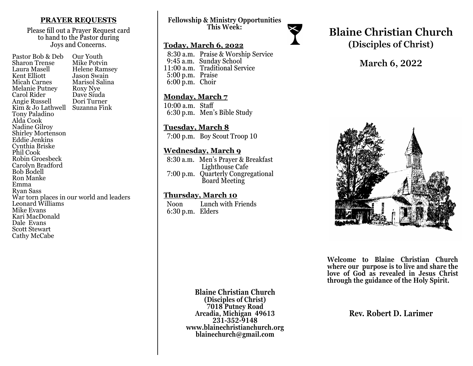### **PRAYER REQUESTS**

Please fill out a Prayer Request card to hand to the Pastor during Joys and Concerns.

| Pastor Bob & Deb         | Our Youth                                |
|--------------------------|------------------------------------------|
| Sharon Trense            | Mike Potvin                              |
| Laura Masell             | Helene Ramsey                            |
| Kent Elliott             | Jason Swain                              |
| <b>Micah Carnes</b>      | Marisol Salina                           |
| <b>Melanie Putney</b>    | Roxy Nye                                 |
| Carol Rider              | Dave Siuda                               |
| Angie Russell            | Dori Turner                              |
| Kim & Jo Lathwell        | Suzanna Fink                             |
| Tony Paladino            |                                          |
| Alda Cook                |                                          |
| Nadine Gilroy            |                                          |
| <b>Shirley Mortenson</b> |                                          |
| <b>Eddie Jenkins</b>     |                                          |
| Cynthia Briske           |                                          |
| Phil Cook                |                                          |
| Robin Groesbeck          |                                          |
| Carolyn Bradford         |                                          |
| <b>Bob Bodell</b>        |                                          |
| Ron Manke                |                                          |
| Emma                     |                                          |
| Ryan Sass                |                                          |
|                          | War torn places in our world and leaders |
| Leonard Williams         |                                          |
| Mike Evans               |                                          |
| Kari MacDonald           |                                          |
| Dale Evans               |                                          |
| Scott Stewart            |                                          |
| Cathy McCabe             |                                          |

**Fellowship & Ministry Opportunities This Week:**

### **Today, March 6, 2022**

 8:30 a.m. Praise & Worship Service 9:45 a.m. Sunday School 11:00 a.m. Traditional Service 5:00 p.m. Praise 6:00 p.m. Choir

#### **Monday, March 7**

10:00 a.m. Staff 6:30 p.m. Men's Bible Study

### **Tuesday, March 8**

7:00 p.m. Boy Scout Troop 10

### **Wednesday, March 9**

 8:30 a.m. Men's Prayer & Breakfast Lighthouse Cafe 7:00 p.m. Quarterly Congregational Board Meeting

### **Thursday, March 10**

 Noon Lunch with Friends 6:30 p.m. Elders



# **Blaine Christian Church (Disciples of Christ)**

# **March 6, 2022**



**Welcome to Blaine Christian Church where our purpose is to live and share the love of God as revealed in Jesus Christ through the guidance of the Holy Spirit.**

**Blaine Christian Church (Disciples of Christ) 7018 Putney Road Arcadia, Michigan 49613 231-352-9148 www.blainechristianchurch.org blainechurch@gmail.com**

**Rev. Robert D. Larimer**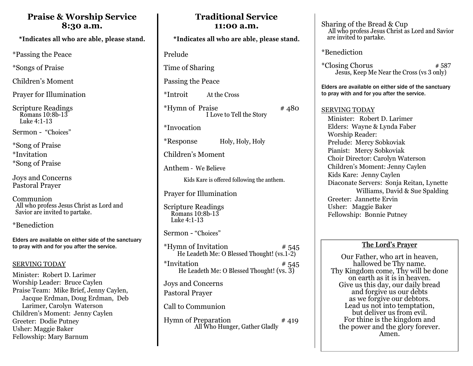## **Praise & Worship Service 8:30 a.m.**

\*Indicates all who are able, please stand.

\*Passing the Peace

\*Songs of Praise

Children's Moment

Prayer for Illumination

Scripture Readings Romans 10:8b-13 Luke 4:1-13

Sermon - "Choices"

\*Song of Praise \*Invitation \*Song of Praise

Joys and Concerns Pastoral Prayer

Communion All who profess Jesus Christ as Lord and Savior are invited to partake.

\*Benediction

Elders are available on either side of the sanctuary to pray with and for you after the service.

### SERVING TODAY

Minister: Robert D. Larimer Worship Leader: Bruce Caylen Praise Team: Mike Brief, Jenny Caylen, Jacque Erdman, Doug Erdman, Deb Larimer, Carolyn Waterson Children's Moment: Jenny Caylen Greeter: Dodie Putney Usher: Maggie Baker Fellowship: Mary Barnum

| 11:00 a.m.                                                                 |  |  |  |
|----------------------------------------------------------------------------|--|--|--|
| *Indicates all who are able, please stand.                                 |  |  |  |
| Prelude                                                                    |  |  |  |
| Time of Sharing                                                            |  |  |  |
| Passing the Peace                                                          |  |  |  |
| *Introit<br>At the Cross                                                   |  |  |  |
| *Hymn of Praise<br>#480<br>I Love to Tell the Story                        |  |  |  |
| <i>*Invocation</i>                                                         |  |  |  |
| *Response<br>Holy, Holy, Holy                                              |  |  |  |
| Children's Moment                                                          |  |  |  |
| Anthem - We Believe                                                        |  |  |  |
| Kids Kare is offered following the anthem.                                 |  |  |  |
| <b>Prayer for Illumination</b>                                             |  |  |  |
| <b>Scripture Readings</b><br>Romans 10:8b-13<br>Luke 4:1-13                |  |  |  |
| Sermon - "Choices"                                                         |  |  |  |
| *Hymn of Invitation<br># 545<br>He Leadeth Me: O Blessed Thought! (vs.1-2) |  |  |  |
| *Invitation<br># 545<br>He Leadeth Me: O Blessed Thought! (vs. 3)          |  |  |  |
| Joys and Concerns                                                          |  |  |  |
| Pastoral Prayer                                                            |  |  |  |
| Call to Communion                                                          |  |  |  |
| Hymn of Preparation<br>#419<br>All Who Hunger, Gather Gladly               |  |  |  |

**Traditional Service**

Sharing of the Bread & Cup All who profess Jesus Christ as Lord and Savior are invited to partake.

\*Benediction

 $*Closing Chorus$   $*587$ Jesus, Keep Me Near the Cross (vs 3 only)

Elders are available on either side of the sanctuary to pray with and for you after the service.

### SERVING TODAY

 Minister: Robert D. Larimer Elders: Wayne & Lynda Faber **Worship Reader:** Prelude: Mercy Sobkoviak Pianist: Mercy Sobkoviak Choir Director: Carolyn Waterson Children's Moment: Jenny Caylen Kids Kare: Jenny Caylen Diaconate Servers: Sonja Reitan, Lynette Williams, David & Sue Spalding Greeter: Jannette Ervin Usher: Maggie Baker Fellowship: Bonnie Putney

### **The Lord's Prayer**

Our Father, who art in heaven, hallowed be Thy name. Thy Kingdom come, Thy will be done on earth as it is in heaven. Give us this day, our daily bread and forgive us our debts as we forgive our debtors. Lead us not into temptation, but deliver us from evil. For thine is the kingdom and the power and the glory forever. Amen.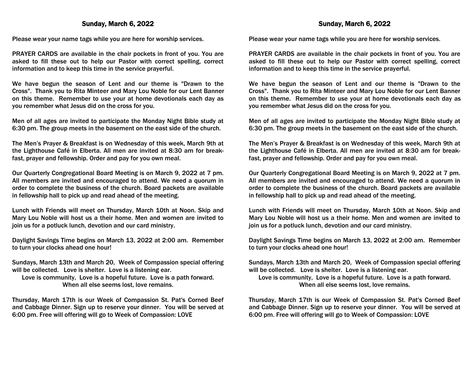### Sunday, March 6, 2022

Please wear your name tags while you are here for worship services.

PRAYER CARDS are available in the chair pockets in front of you. You are asked to fill these out to help our Pastor with correct spelling, correct information and to keep this time in the service prayerful.

We have begun the season of Lent and our theme is "Drawn to the Cross". Thank you to Rita Minteer and Mary Lou Noble for our Lent Banner on this theme. Remember to use your at home devotionals each day as you remember what Jesus did on the cross for you.

Men of all ages are invited to participate the Monday Night Bible study at 6:30 pm. The group meets in the basement on the east side of the church.

The Men's Prayer & Breakfast is on Wednesday of this week, March 9th at the Lighthouse Café in Elberta. All men are invited at 8:30 am for breakfast, prayer and fellowship. Order and pay for you own meal.

Our Quarterly Congregational Board Meeting is on March 9, 2022 at 7 pm. All members are invited and encouraged to attend. We need a quorum in order to complete the business of the church. Board packets are available in fellowship hall to pick up and read ahead of the meeting.

Lunch with Friends will meet on Thursday, March 10th at Noon. Skip and Mary Lou Noble will host us a their home. Men and women are invited to join us for a potluck lunch, devotion and our card ministry.

Daylight Savings Time begins on March 13, 2022 at 2:00 am. Remember to turn your clocks ahead one hour!

Sundays, March 13th and March 20, Week of Compassion special offering will be collected. Love is shelter. Love is a listening ear.

Love is community, Love is a hopeful future. Love is a path forward. When all else seems lost, love remains.

Thursday, March 17th is our Week of Compassion St. Pat's Corned Beef and Cabbage Dinner. Sign up to reserve your dinner. You will be served at 6:00 pm. Free will offering will go to Week of Compassion: LOVE

Please wear your name tags while you are here for worship services.

PRAYER CARDS are available in the chair pockets in front of you. You are asked to fill these out to help our Pastor with correct spelling, correct information and to keep this time in the service prayerful.

We have begun the season of Lent and our theme is "Drawn to the Cross". Thank you to Rita Minteer and Mary Lou Noble for our Lent Banner on this theme. Remember to use your at home devotionals each day as you remember what Jesus did on the cross for you.

Men of all ages are invited to participate the Monday Night Bible study at 6:30 pm. The group meets in the basement on the east side of the church.

The Men's Prayer & Breakfast is on Wednesday of this week, March 9th at the Lighthouse Café in Elberta. All men are invited at 8:30 am for breakfast, prayer and fellowship. Order and pay for you own meal.

Our Quarterly Congregational Board Meeting is on March 9, 2022 at 7 pm. All members are invited and encouraged to attend. We need a quorum in order to complete the business of the church. Board packets are available in fellowship hall to pick up and read ahead of the meeting.

Lunch with Friends will meet on Thursday, March 10th at Noon. Skip and Mary Lou Noble will host us a their home. Men and women are invited to join us for a potluck lunch, devotion and our card ministry.

Daylight Savings Time begins on March 13, 2022 at 2:00 am. Remember to turn your clocks ahead one hour!

Sundays, March 13th and March 20, Week of Compassion special offering will be collected. Love is shelter. Love is a listening ear.

Love is community, Love is a hopeful future. Love is a path forward. When all else seems lost, love remains.

Thursday, March 17th is our Week of Compassion St. Pat's Corned Beef and Cabbage Dinner. Sign up to reserve your dinner. You will be served at 6:00 pm. Free will offering will go to Week of Compassion: LOVE

### Sunday, March 6, 2022